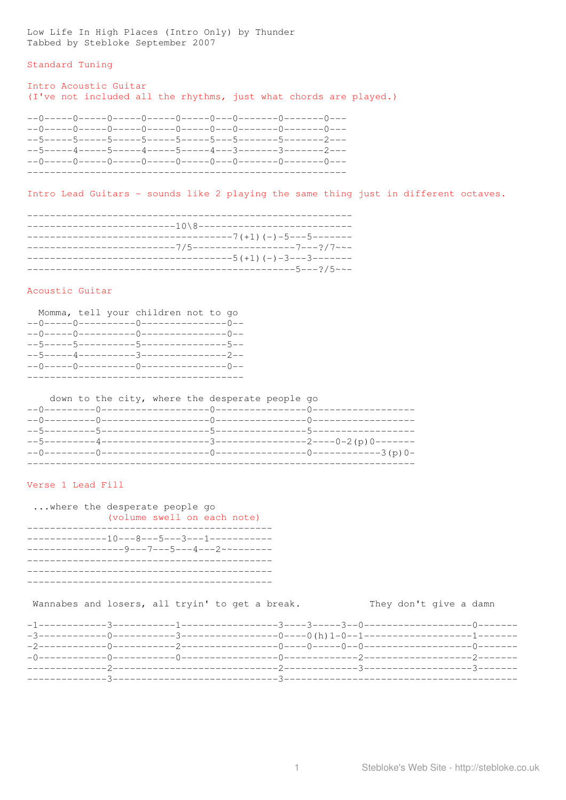Low Life In High Places (Intro Only) by Thunder<br>Tabbed by Stebloke September 2007

#### Standard Tuning

# Intro Acoustic Guitar (I've not included all the rhythms, just what chords are played.)

|  |  | $--5---4---5---5---4---5---5---4---3-----3-----3-----2---$ |  |
|--|--|------------------------------------------------------------|--|
|  |  |                                                            |  |
|  |  |                                                            |  |

Intro Lead Guitars - sounds like 2 playing the same thing just in different octaves.

|                                                                                         | -----------------------------------7(+1)                               (-)-5---5------- |  |
|-----------------------------------------------------------------------------------------|-----------------------------------------------------------------------------------------|--|
|                                                                                         |                                                                                         |  |
|                                                                                         |                                                                                         |  |
| ---------------------------------5(+1)                                (-) -3---3------- |                                                                                         |  |
|                                                                                         |                                                                                         |  |
|                                                                                         | -----------------------------------5---?/5~~-                                           |  |
|                                                                                         |                                                                                         |  |

## Acoustic Guitar

|                                          | Momma, tell your children not to go |  |
|------------------------------------------|-------------------------------------|--|
|                                          |                                     |  |
|                                          |                                     |  |
| --5-----5-----------5----------------5-- |                                     |  |
| --5-----4----------3----------------2--  |                                     |  |
| --0-----0----------0----------------0--  |                                     |  |
|                                          |                                     |  |

|  |  |  | down to the city, where the desperate people go |  |  |
|--|--|--|-------------------------------------------------|--|--|
|  |  |  |                                                 |  |  |
|  |  |  |                                                 |  |  |
|  |  |  |                                                 |  |  |
|  |  |  |                                                 |  |  |
|  |  |  |                                                 |  |  |
|  |  |  |                                                 |  |  |

# Verse 1 Lead Fill

| $\ldots$ where the desperate people go.<br>(volume swell on each note) |
|------------------------------------------------------------------------|
|                                                                        |
|                                                                        |

Wannabes and losers, all tryin' to get a break. They don't give a damn